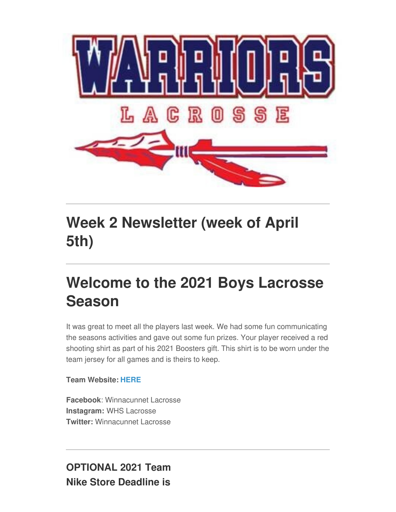

## **Week 2 Newsletter (week of April 5th)**

## **Welcome to the 2021 Boys Lacrosse Season**

It was great to meet all the players last week. We had some fun communicating the seasons activities and gave out some fun prizes. Your player received a red shooting shirt as part of his 2021 Boosters gift. This shirt is to be worn under the team jersey for all games and is theirs to keep.

#### **Team Website: [HERE](http://www.whslacrosse.org)**

**Facebook**: Winnacunnet Lacrosse **Instagram:** WHS Lacrosse **Twitter:** Winnacunnet Lacrosse

**OPTIONAL 2021 Team Nike Store Deadline is**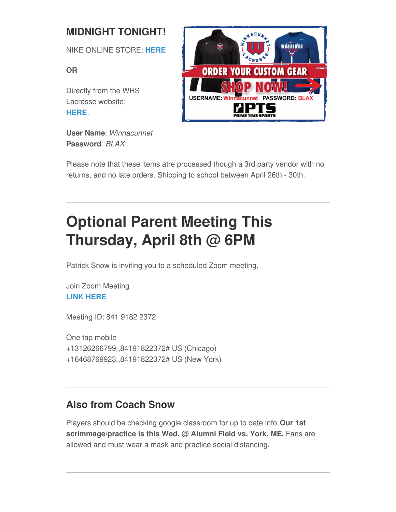## **MIDNIGHT TONIGHT!**

NIKE ONLINE STORE: **[HERE](https://ptsteam.com/winnlax)**

**OR**

Directly from the WHS Lacrosse website: **[HERE](http://www.whslacrosse.org)**.

**User Name**: *Winnacunnet* **Password**: *BLAX*



Please note that these items atre processed though a 3rd party vendor with no returns, and no late orders. Shipping to school between April 26th - 30th.

# **Optional Parent Meeting This Thursday, April 8th @ 6PM**

Patrick Snow is inviting you to a scheduled Zoom meeting.

Join Zoom Meeting **LINK [HERE](https://us02web.zoom.us/j/84191822372)**

Meeting ID: 841 9182 2372

One tap mobile +13126266799,,84191822372# US (Chicago) +16468769923,,84191822372# US (New York)

## **Also from Coach Snow**

Players should be checking google classroom for up to date info.**Our 1st scrimmage/practice is this Wed. @ Alumni Field vs. York, ME.** Fans are allowed and must wear a mask and practice social distancing.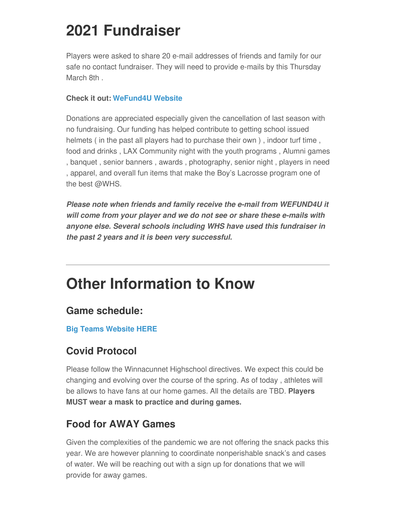## **2021 Fundraiser**

Players were asked to share 20 e-mail addresses of friends and family for our safe no contact fundraiser. They will need to provide e-mails by this Thursday March 8th .

#### **Check it out: [WeFund4U](https://wefund4u.com/fundraiser/winn21/c/106522) Website**

Donations are appreciated especially given the cancellation of last season with no fundraising. Our funding has helped contribute to getting school issued helmets ( in the past all players had to purchase their own ) , indoor turf time , food and drinks , LAX Community night with the youth programs , Alumni games , banquet , senior banners , awards , photography, senior night , players in need , apparel, and overall fun items that make the Boy's Lacrosse program one of the best @WHS.

*Please note when friends and family receive the e-mail from WEFUND4U it will come from your player and we do not see or share these e-mails with anyone else. Several schools including WHS have used this fundraiser in the past 2 years and it is been very successful.*

## **Other Information to Know**

### **Game schedule:**

#### **Big Teams [Website](https://winnacunnetathletics.bigteams.com/) HERE**

### **Covid Protocol**

Please follow the Winnacunnet Highschool directives. We expect this could be changing and evolving over the course of the spring. As of today , athletes will be allows to have fans at our home games. All the details are TBD. **Players MUST wear a mask to practice and during games.**

### **Food for AWAY Games**

Given the complexities of the pandemic we are not offering the snack packs this year. We are however planning to coordinate nonperishable snack's and cases of water. We will be reaching out with a sign up for donations that we will provide for away games.